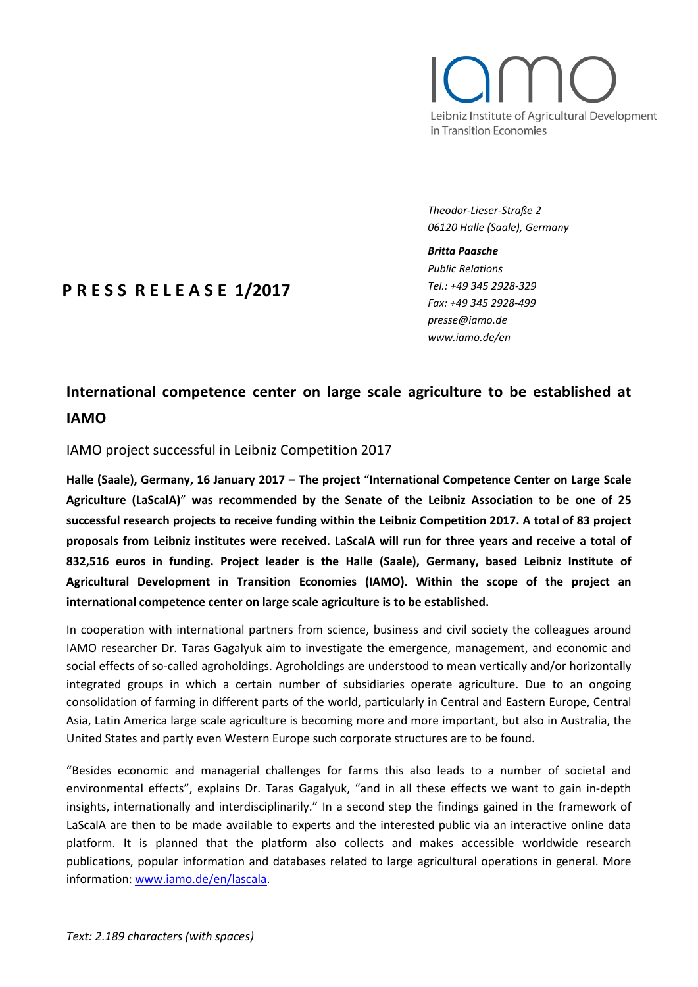# Leibniz Institute of Agricultural Development in Transition Economies

*Theodor-Lieser-Straße 2 06120 Halle (Saale), Germany*

#### *Britta Paasche*

*Public Relations Tel.: +49 345 2928-329 Fax: +49 345 2928-499 presse@iamo.de www.iamo.de/en*

# **P R E S S R E L E A S E 1/2017**

# **International competence center on large scale agriculture to be established at IAMO**

## IAMO project successful in Leibniz Competition 2017

**Halle (Saale), Germany, 16 January 2017 – The project** "**International Competence Center on Large Scale Agriculture (LaScalA)**" **was recommended by the Senate of the Leibniz Association to be one of 25 successful research projects to receive funding within the Leibniz Competition 2017. A total of 83 project proposals from Leibniz institutes were received. LaScalA will run for three years and receive a total of 832,516 euros in funding. Project leader is the Halle (Saale), Germany, based Leibniz Institute of Agricultural Development in Transition Economies (IAMO). Within the scope of the project an international competence center on large scale agriculture is to be established.**

In cooperation with international partners from science, business and civil society the colleagues around IAMO researcher Dr. Taras Gagalyuk aim to investigate the emergence, management, and economic and social effects of so-called agroholdings. Agroholdings are understood to mean vertically and/or horizontally integrated groups in which a certain number of subsidiaries operate agriculture. Due to an ongoing consolidation of farming in different parts of the world, particularly in Central and Eastern Europe, Central Asia, Latin America large scale agriculture is becoming more and more important, but also in Australia, the United States and partly even Western Europe such corporate structures are to be found.

"Besides economic and managerial challenges for farms this also leads to a number of societal and environmental effects", explains Dr. Taras Gagalyuk, "and in all these effects we want to gain in-depth insights, internationally and interdisciplinarily." In a second step the findings gained in the framework of LaScalA are then to be made available to experts and the interested public via an interactive online data platform. It is planned that the platform also collects and makes accessible worldwide research publications, popular information and databases related to large agricultural operations in general. More information: [www.iamo.de/en/lascala.](http://www.iamo.de/en/lascala)